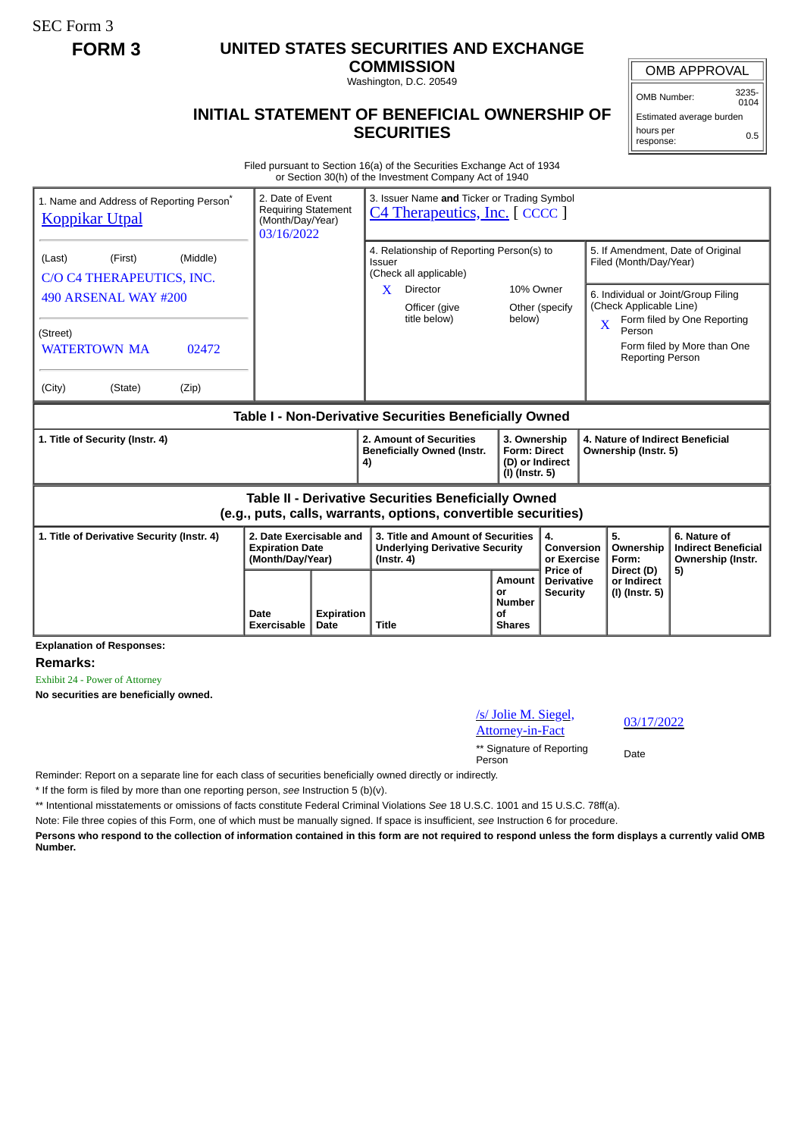SEC Form 3

## **FORM 3 UNITED STATES SECURITIES AND EXCHANGE**

**COMMISSION** Washington, D.C. 20549

## OMB APPROVAL

OMB Number: 3235-  $0104$ 

## **INITIAL STATEMENT OF BENEFICIAL OWNERSHIP OF SECURITIES**

Estimated average burden hours per response: 0.5

Filed pursuant to Section 16(a) of the Securities Exchange Act of 1934 or Section 30(h) of the Investment Company Act of 1940

| 1. Name and Address of Reporting Person <sup>®</sup><br><b>Koppikar Utpal</b>                                                                                |                     | 3. Issuer Name and Ticker or Trading Symbol<br>2. Date of Event<br><b>Requiring Statement</b><br><b>C4 Therapeutics, Inc.</b> [ CCCC ]<br>(Month/Day/Year)<br>03/16/2022 |                                                                                                                                 |                                                                          |                                                         |                                                                                                                   |                                                                                                                                        |
|--------------------------------------------------------------------------------------------------------------------------------------------------------------|---------------------|--------------------------------------------------------------------------------------------------------------------------------------------------------------------------|---------------------------------------------------------------------------------------------------------------------------------|--------------------------------------------------------------------------|---------------------------------------------------------|-------------------------------------------------------------------------------------------------------------------|----------------------------------------------------------------------------------------------------------------------------------------|
| (Middle)<br>(First)<br>(Last)<br>C/O C4 THERAPEUTICS, INC.<br>490 ARSENAL WAY #200<br>(Street)<br><b>WATERTOWN MA</b><br>02472<br>(City)<br>(State)<br>(Zip) |                     |                                                                                                                                                                          | 4. Relationship of Reporting Person(s) to<br>Issuer<br>(Check all applicable)<br>X<br>Director<br>Officer (give<br>title below) | 10% Owner<br>below)                                                      | Other (specify                                          | Filed (Month/Day/Year)<br>(Check Applicable Line)<br>$\overline{\mathbf{X}}$<br>Person<br><b>Reporting Person</b> | 5. If Amendment, Date of Original<br>6. Individual or Joint/Group Filing<br>Form filed by One Reporting<br>Form filed by More than One |
| Table I - Non-Derivative Securities Beneficially Owned                                                                                                       |                     |                                                                                                                                                                          |                                                                                                                                 |                                                                          |                                                         |                                                                                                                   |                                                                                                                                        |
| 1. Title of Security (Instr. 4)                                                                                                                              |                     |                                                                                                                                                                          | 2. Amount of Securities<br><b>Beneficially Owned (Instr.</b><br>4)                                                              | 3. Ownership<br><b>Form: Direct</b><br>(D) or Indirect<br>(I) (Instr. 5) |                                                         | 4. Nature of Indirect Beneficial<br>Ownership (Instr. 5)                                                          |                                                                                                                                        |
| Table II - Derivative Securities Beneficially Owned<br>(e.g., puts, calls, warrants, options, convertible securities)                                        |                     |                                                                                                                                                                          |                                                                                                                                 |                                                                          |                                                         |                                                                                                                   |                                                                                                                                        |
| 2. Date Exercisable and<br>1. Title of Derivative Security (Instr. 4)<br><b>Expiration Date</b><br>(Month/Day/Year)                                          |                     |                                                                                                                                                                          | 3. Title and Amount of Securities<br><b>Underlying Derivative Security</b><br>$($ lnstr. 4 $)$                                  |                                                                          | 4.<br>Conversion<br>or Exercise                         | 5.<br>Ownership<br>Form:                                                                                          | 6. Nature of<br><b>Indirect Beneficial</b><br>Ownership (Instr.                                                                        |
|                                                                                                                                                              | Date<br>Exercisable | <b>Expiration</b><br>Date                                                                                                                                                | <b>Title</b>                                                                                                                    | <b>Amount</b><br>or<br><b>Number</b><br>οf<br><b>Shares</b>              | <b>Price of</b><br><b>Derivative</b><br><b>Security</b> | Direct (D)<br>or Indirect<br>(I) (Instr. 5)                                                                       | 5)                                                                                                                                     |

**Explanation of Responses:**

**Remarks:**

Exhibit 24 - Power of Attorney

**No securities are beneficially owned.**

/s/ Jolie M. Siegel, <u>St Jolie M. Slegel,</u><br>Attorney-in-Fact 03/17/2022 \*\* Signature of Reporting Person Date

Reminder: Report on a separate line for each class of securities beneficially owned directly or indirectly.

\* If the form is filed by more than one reporting person, *see* Instruction 5 (b)(v).

\*\* Intentional misstatements or omissions of facts constitute Federal Criminal Violations *See* 18 U.S.C. 1001 and 15 U.S.C. 78ff(a).

Note: File three copies of this Form, one of which must be manually signed. If space is insufficient, *see* Instruction 6 for procedure.

**Persons who respond to the collection of information contained in this form are not required to respond unless the form displays a currently valid OMB Number.**